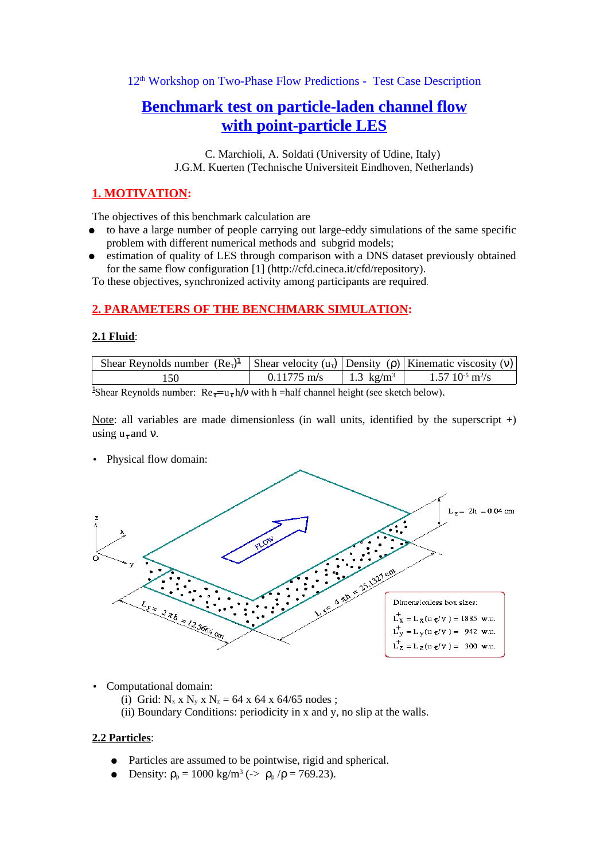12<sup>th</sup> Workshop on Two-Phase Flow Predictions - Test Case Description

# **Benchmark test on particle-laden channel flow with point-particle LES**

C. Marchioli, A. Soldati (University of Udine, Italy) J.G.M. Kuerten (Technische Universiteit Eindhoven, Netherlands)

## **1. MOTIVATION:**

The objectives of this benchmark calculation are

- to have a large number of people carrying out large-eddy simulations of the same specific problem with different numerical methods and subgrid models;
- estimation of quality of LES through comparison with a DNS dataset previously obtained for the same flow configuration [1] (http://cfd.cineca.it/cfd/repository).

To these objectives, synchronized activity among participants are required.

## **2. PARAMETERS OF THE BENCHMARK SIMULATION:**

#### **2.1 Fluid**:

| Shear Reynolds number $(Re_7)^1$ Shear velocity $(u_7)$ Density $(\rho)$ Kinematic viscosity $(v)$ |               |                       |                             |
|----------------------------------------------------------------------------------------------------|---------------|-----------------------|-----------------------------|
|                                                                                                    | $0.11775$ m/s | 1.3 kg/m <sup>3</sup> | $1.57\;10^{5}\;{\rm m^2/s}$ |
| $1 - 1$                                                                                            |               |                       |                             |

<sup>1</sup>Shear Reynolds number:  $\text{Re}_{\tau} = u_{\tau} h/v$  with h = half channel height (see sketch below).

Note: all variables are made dimensionless (in wall units, identified by the superscript  $+)$ ) using  $u_{\tau}$  and  $v$ .

• Physical flow domain:



- Computational domain:
	- (i) Grid:  $N_x \times N_y \times N_z = 64 \times 64 \times 64/65$  nodes ;
	- (ii) Boundary Conditions: periodicity in x and y, no slip at the walls.

#### **2.2 Particles**:

- Particles are assumed to be pointwise, rigid and spherical.
- Density:  $\rho_p = 1000 \text{ kg/m}^3 \, (-\rho_p / \rho = 769.23)$ .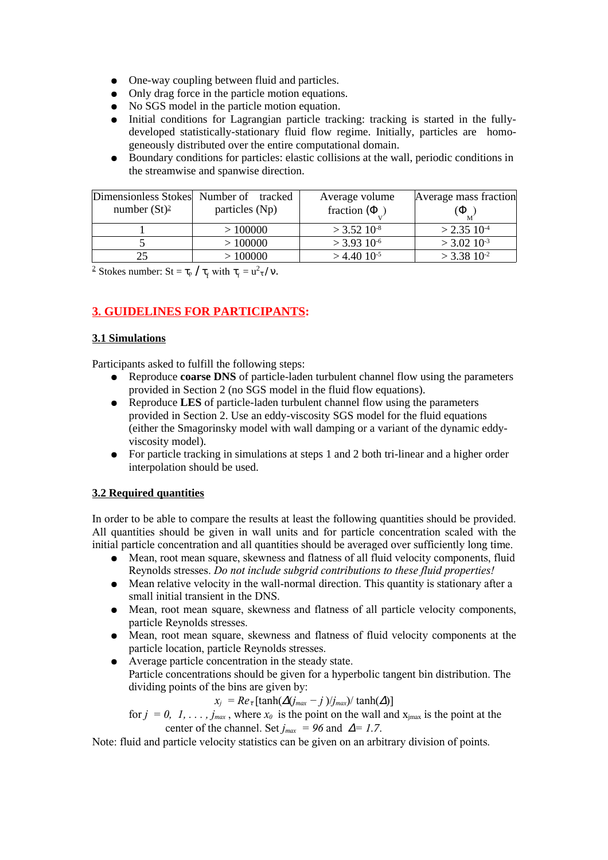- One-way coupling between fluid and particles.
- Only drag force in the particle motion equations.
- No SGS model in the particle motion equation.
- Initial conditions for Lagrangian particle tracking: tracking is started in the fullydeveloped statistically-stationary fluid flow regime. Initially, particles are homogeneously distributed over the entire computational domain.
- Boundary conditions for particles: elastic collisions at the wall, periodic conditions in the streamwise and spanwise direction.

|                 | Dimensionless Stokes Number of tracked | Average volume            | Average mass fraction     |
|-----------------|----------------------------------------|---------------------------|---------------------------|
| number $(St)^2$ | particles (Np)                         | fraction ( $\Phi$ )       | $\Phi$                    |
|                 | >100000                                | $>$ 3.52 10 <sup>-8</sup> | $>$ 2.35 10 <sup>-4</sup> |
|                 | >100000                                | $>$ 3.93 10 <sup>-6</sup> | $>$ 3.02 10 <sup>-3</sup> |
|                 | >100000                                | $>$ 4.40 10 <sup>-5</sup> | $>$ 3.38 10 <sup>-2</sup> |

<sup>2</sup> Stokes number: St =  $\tau_{p}$  /  $\tau_{f}$  with  $\tau_{f} = u^{2} \tau / v$ .

## **3. GUIDELINES FOR PARTICIPANTS:**

## **3.1 Simulations**

Participants asked to fulfill the following steps:

- Reproduce **coarse DNS** of particle-laden turbulent channel flow using the parameters provided in Section 2 (no SGS model in the fluid flow equations).
- Reproduce **LES** of particle-laden turbulent channel flow using the parameters provided in Section 2. Use an eddy-viscosity SGS model for the fluid equations (either the Smagorinsky model with wall damping or a variant of the dynamic eddyviscosity model).
- For particle tracking in simulations at steps 1 and 2 both tri-linear and a higher order interpolation should be used.

## **3.2 Required quantities**

In order to be able to compare the results at least the following quantities should be provided. All quantities should be given in wall units and for particle concentration scaled with the initial particle concentration and all quantities should be averaged over sufficiently long time.

- Mean, root mean square, skewness and flatness of all fluid velocity components, fluid Reynolds stresses. *Do not include subgrid contributions to these fluid properties!*
- Mean relative velocity in the wall-normal direction. This quantity is stationary after a small initial transient in the DNS.
- Mean, root mean square, skewness and flatness of all particle velocity components, particle Reynolds stresses.
- Mean, root mean square, skewness and flatness of fluid velocity components at the particle location, particle Reynolds stresses.
- Average particle concentration in the steady state. Particle concentrations should be given for a hyperbolic tangent bin distribution. The dividing points of the bins are given by:

 $x_j = Re_\tau \left[ \tanh(\Delta(j_{max} - j)/j_{max}) / \tanh(\Delta) \right]$ 

for  $j = 0, 1, \ldots, j_{max}$ , where  $x_0$  is the point on the wall and  $x_{i max}$  is the point at the center of the channel. Set  $j_{max} = 96$  and  $\Delta = 1.7$ .

Note: fluid and particle velocity statistics can be given on an arbitrary division of points.